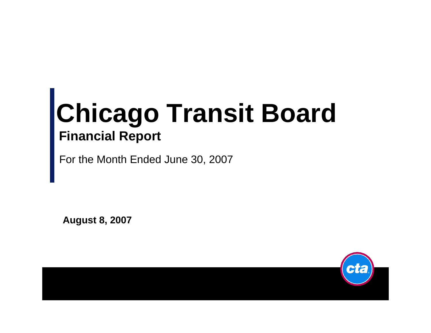# **Chicago Transit Board Financial Report**

For the Month Ended June 30, 2007

**August 8, 2007**

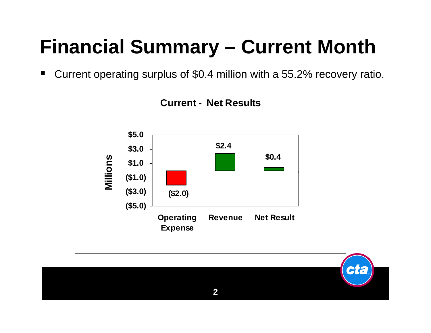### **Financial Summary - Current Month**

Current operating surplus of \$0.4 million with a 55.2% recovery ratio. w

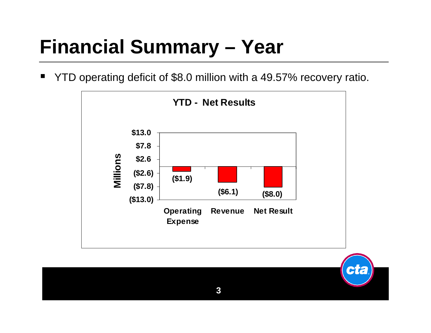### **Financial Summary - Year**

YTD operating deficit of \$8.0 million with a 49.57% recovery ratio.

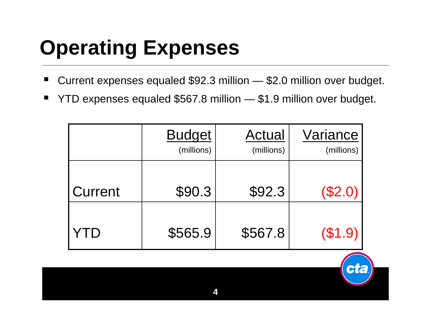# **Operating Expenses**

- П ■ Current expenses equaled \$92.3 million — \$2.0 million over budget.
- × ■ YTD expenses equaled \$567.8 million — \$1.9 million over budget.

|         | <b>Budget</b><br>(millions) | Actual<br>(millions) | Variance<br>(millions) |
|---------|-----------------------------|----------------------|------------------------|
| Current | \$90.3                      | \$92.3               | (\$2.0)                |
|         | \$565.9                     | \$567.8              | (\$1.9)                |

**City**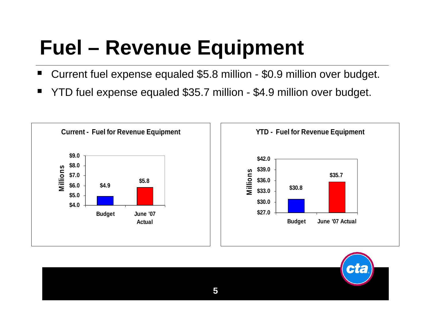# **Fuel – Revenue Equipment**

- H Current fuel expense equaled \$5.8 million - \$0.9 million over budget.
- ٠ YTD fuel expense equaled \$35.7 million - \$4.9 million over budget.



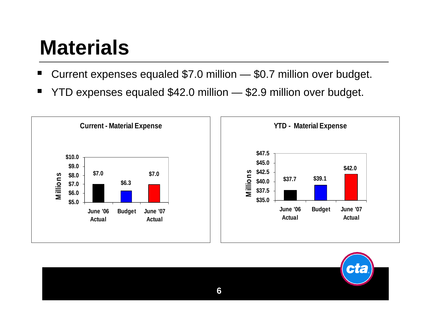## **Materials**

- Current expenses equaled \$7.0 million — \$0.7 million over budget.
- ٠ YTD expenses equaled \$42.0 million — \$2.9 million over budget.



**6**

CTC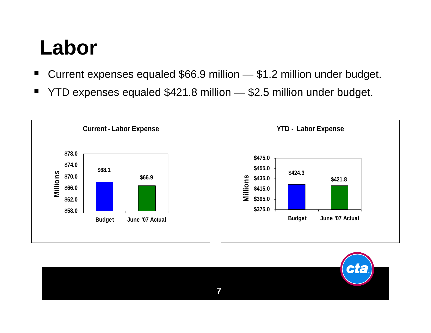## **Labor**

- ٠ Current expenses equaled \$66.9 million — \$1.2 million under budget.
- ٠ YTD expenses equaled \$421.8 million — \$2.5 million under budget.



**7**

**Cita**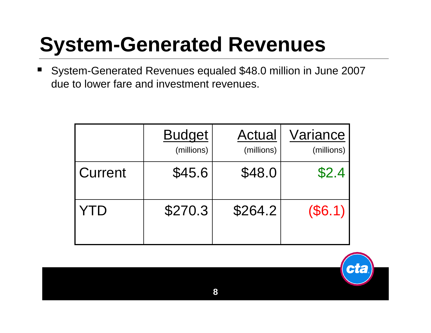### **System-Generated Revenues**

٠ System-Generated Revenues equaled \$48.0 million in June 2007 due to lower fare and investment revenues.

|         | <b>Budget</b><br>(millions) | Actual<br>(millions) | Variance<br>(millions) |
|---------|-----------------------------|----------------------|------------------------|
| Current | \$45.6                      | \$48.0               | \$2.4                  |
| YID     | \$270.3                     | \$264.2              | $(\$6.1)$              |

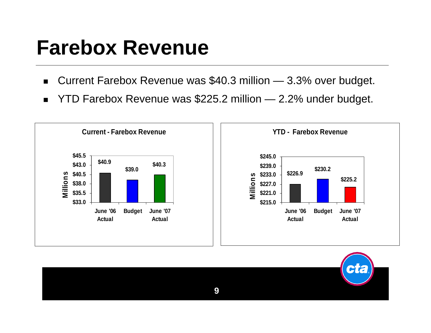#### **Farebox Revenue**

- $\blacksquare$ ■ Current Farebox Revenue was \$40.3 million — 3.3% over budget.
- $\blacksquare$ YTD Farebox Revenue was \$225.2 million — 2.2% under budget.



**9**

**City**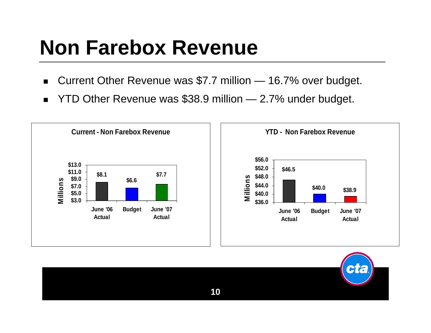## **Non Farebox Revenue**

- $\blacksquare$ Current Other Revenue was \$7.7 million — 16.7% over budget.
- $\blacksquare$ YTD Other Revenue was \$38.9 million — 2.7% under budget.